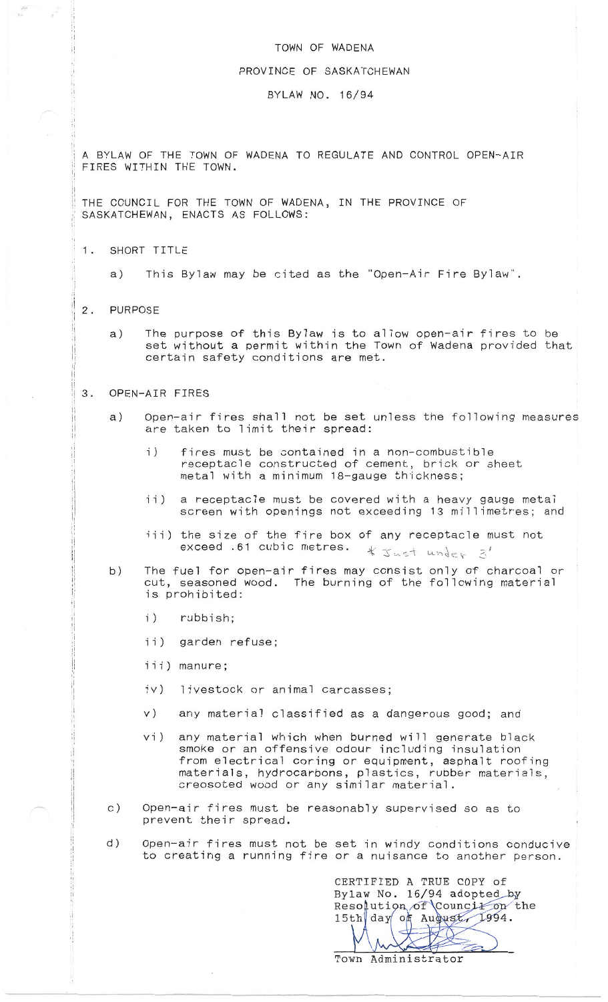## TOWN OF WADENA

## PROVINCE OF SASKATCHEWAN

## BYLAW NO. 16/94

A BYLAW OF THE TOWN OF WADENA TO REGULATE AND CONTROL OPEN-AIR FIRES WITHIN THE TOWN.

THE COUNCIL FOR THE TOWN OF WADENA, IN THE PROVINCE OF SASKATCHEWAN, ENACTS AS FOLLOWS:

- SHORT TITLE 1.
	- This Bylaw may be cited as the "Open-Air Fire Bylaw".  $a)$
- **PURPOSE**  $2.$ 
	- The purpose of this Bylaw is to allow open-air fires to be  $a)$ set without a permit within the Town of Wadena provided that certain safety conditions are met.

## OPEN-AIR FIRES  $\mathcal{R}$ .

- Open-air fires shall not be set unless the following measures  $a)$ are taken to limit their spread:
	- $\mathbf{i}$ ) fires must be contained in a non-combustible receptacle constructed of cement, brick or sheet metal with a minimum 18-gauge thickness;
	- a receptacle must be covered with a heavy gauge metal  $\mathbf{i}$  $\mathbf{i}$ ) screen with openings not exceeding 13 millimetres; and
	- iii) the size of the fire box of any receptacle must not exceed .61 cubic metres. \* Just under 3'
- The fuel for open-air fires may consist only of charcoal or  $b)$ cut, seasoned wood. The burning of the following material is prohibited:
	- $\mathbf{i}$ ) rubbish;
	- $\left( i\right)$ garden refuse;
	- iii) manure;
	- $iv)$ livestock or animal carcasses;
	- $V)$ any material classified as a dangerous good; and
	- any material which when burned will generate black  $vi)$ smoke or an offensive odour including insulation from electrical coring or equipment, asphalt roofing materials, hydrocarbons, plastics, rubber materials, creosoted wood or any similar material.
- Open-air fires must be reasonably supervised so as to  $\circ$ ) prevent their spread.
- $d)$ Open-air fires must not be set in windy conditions conducive to creating a running fire or a nuisance to another person.

CERTIFIED A TRUE COPY of Bylaw No. 16/94 adopted by Resolution of Council on the 15th day of August, 1994.  $\forall$ 

Town Administrator